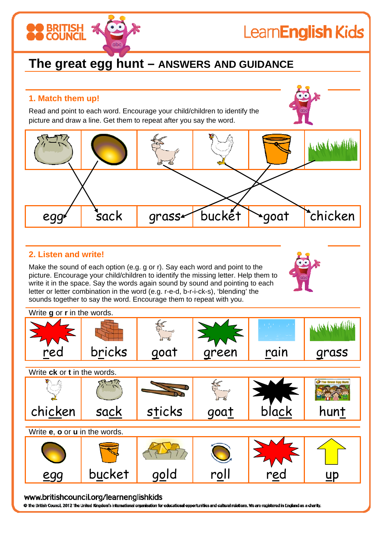# Learn**English Kids**

# **The great egg hunt – ANSWERS AND GUIDANCE**

# **1. Match them up!**

**BRITISH** 

Read and point to each word. Encourage your child/children to identify the picture and draw a line. Get them to repeat after you say the word.



### **2. Listen and write!**

Make the sound of each option (e.g. g or r). Say each word and point to the picture. Encourage your child/children to identify the missing letter. Help them to write it in the space. Say the words again sound by sound and pointing to each letter or letter combination in the word (e.g. r-e-d, b-r-i-ck-s), 'blending' the sounds together to say the word. Encourage them to repeat with you.



| Write g or r in the words.    |        |        |               |       |                    |
|-------------------------------|--------|--------|---------------|-------|--------------------|
|                               |        |        |               |       |                    |
| red                           | bricks | goat   | green         | rain  | grass              |
| Write ck or t in the words.   |        |        |               |       |                    |
|                               |        |        | $\frac{1}{2}$ |       | The Srout Easy Num |
| chicken                       | sack   | sticks | goat          | black | hunt               |
| Write e, o or u in the words. |        |        |               |       |                    |
|                               |        |        |               |       |                    |
| eg                            | bucket | gola   | r <u>o</u> ll | rec   | D                  |

#### www.britishcouncil.org/learnenglishkids

O The British Council, 2012 The United Kingdom's international organisation for educational opportunities and cultural relations. We are registered in England as a charity.